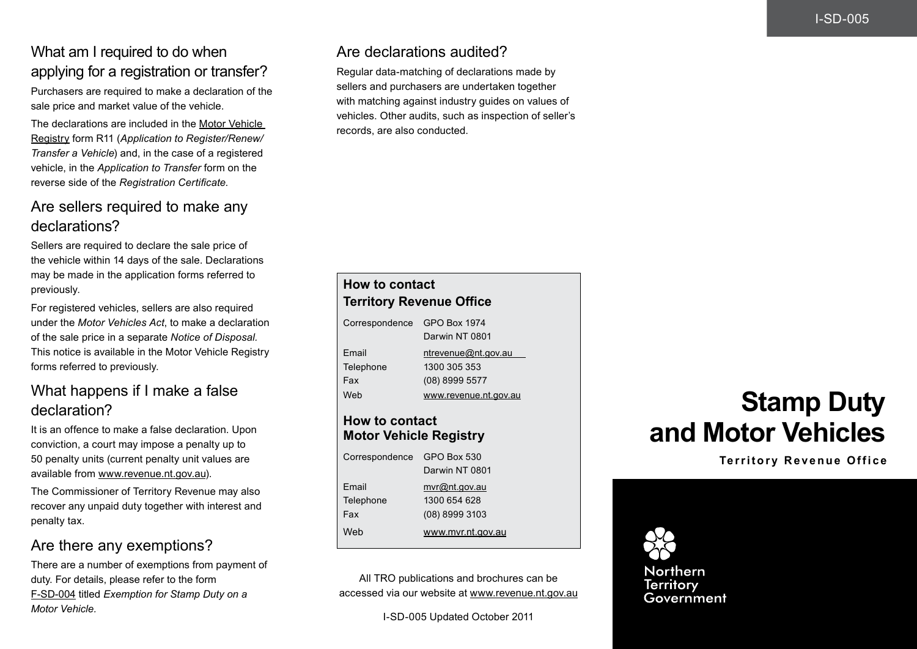## What am I required to do when applying for a registration or transfer?

Purchasers are required to make a declaration of the sale price and market value of the vehicle.

The declarations are included in the [Motor Vehicle](http://www.nt.gov.au/transport/mvr/)  [Registry](http://www.nt.gov.au/transport/mvr/) form R11 (*Application to Register/Renew/ Transfer a Vehicle*) and, in the case of a registered vehicle, in the *Application to Transfer* form on the reverse side of the *Registration Certificate*.

#### Are sellers required to make any declarations?

Sellers are required to declare the sale price of the vehicle within 14 days of the sale. Declarations may be made in the application forms referred to previously.

For registered vehicles, sellers are also required under the *Motor Vehicles Act*, to make a declaration of the sale price in a separate *Notice of Disposal.*  This notice is available in the Motor Vehicle Registry forms referred to previously.

# What happens if I make a false declaration?

It is an offence to make a false declaration. Upon conviction, a court may impose a penalty up to 50 penalty units (current penalty unit values are available from [www.revenue.nt.gov.au\)](http://www.revenue.nt.gov.au).

The Commissioner of Territory Revenue may also recover any unpaid duty together with interest and penalty tax.

## Are there any exemptions?

There are a number of exemptions from payment of duty. For details, please refer to the form [F-SD-004](http://www.treasury.nt.gov.au/PMS/Publications/TaxesRoyaltiesGrants/StampDuty/F-SD-004.pdf) titled *Exemption for Stamp Duty on a Motor Vehicle.*

#### Are declarations audited?

Regular data-matching of declarations made by sellers and purchasers are undertaken together with matching against industry guides on values of vehicles. Other audits, such as inspection of seller's records, are also conducted.

| <b>How to contact</b>           |                                       |  |
|---------------------------------|---------------------------------------|--|
| <b>Territory Revenue Office</b> |                                       |  |
| Correspondence                  | <b>GPO Box 1974</b><br>Darwin NT 0801 |  |
| Email                           | ntrevenue@nt.gov.au                   |  |
| Telephone                       | 1300 305 353                          |  |
| Fax                             | (08) 8999 5577                        |  |
| Web                             | www.revenue.nt.gov.au                 |  |

#### **How to contact Motor Vehicle Registry**

| GPO Box 530       |
|-------------------|
| Darwin NT 0801    |
| mvr@nt.gov.au     |
| 1300 654 628      |
| (08) 8999 3103    |
| www.mvr.nt.gov.au |
|                   |

All TRO publications and brochures can be accessed via our website at [www.revenue.nt.gov.au](http://www.revenue.nt.gov.au)

# **Stamp Duty and Motor Vehicles**

**Territory Revenue Office**